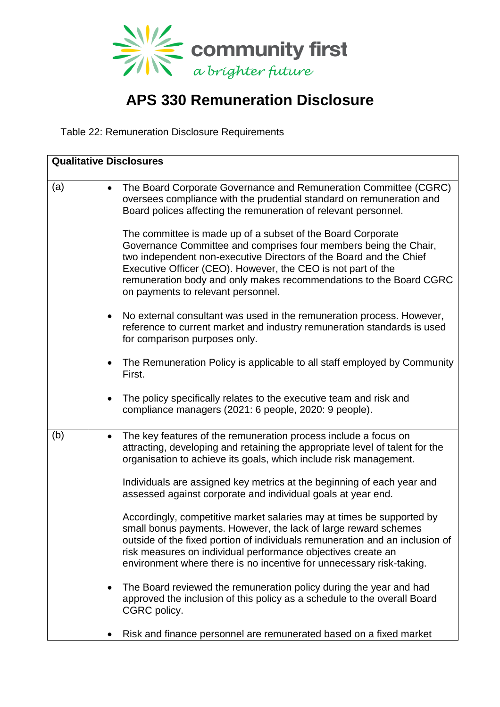

## **APS 330 Remuneration Disclosure**

Table 22: Remuneration Disclosure Requirements

| <b>Qualitative Disclosures</b> |                                                                                                                                                                                                                                         |                                                                                                                                                       |  |  |
|--------------------------------|-----------------------------------------------------------------------------------------------------------------------------------------------------------------------------------------------------------------------------------------|-------------------------------------------------------------------------------------------------------------------------------------------------------|--|--|
| (a)                            | $\bullet$<br>Board polices affecting the remuneration of relevant personnel.                                                                                                                                                            | The Board Corporate Governance and Remuneration Committee (CGRC)<br>oversees compliance with the prudential standard on remuneration and              |  |  |
|                                | The committee is made up of a subset of the Board Corporate<br>two independent non-executive Directors of the Board and the Chief<br>Executive Officer (CEO). However, the CEO is not part of the<br>on payments to relevant personnel. | Governance Committee and comprises four members being the Chair,<br>remuneration body and only makes recommendations to the Board CGRC                |  |  |
|                                | for comparison purposes only.                                                                                                                                                                                                           | No external consultant was used in the remuneration process. However,<br>reference to current market and industry remuneration standards is used      |  |  |
|                                | $\bullet$<br>First.                                                                                                                                                                                                                     | The Remuneration Policy is applicable to all staff employed by Community                                                                              |  |  |
|                                | The policy specifically relates to the executive team and risk and<br>٠<br>compliance managers (2021: 6 people, 2020: 9 people).                                                                                                        |                                                                                                                                                       |  |  |
| (b)                            | The key features of the remuneration process include a focus on<br>$\bullet$<br>organisation to achieve its goals, which include risk management.                                                                                       | attracting, developing and retaining the appropriate level of talent for the                                                                          |  |  |
|                                | assessed against corporate and individual goals at year end.                                                                                                                                                                            | Individuals are assigned key metrics at the beginning of each year and                                                                                |  |  |
|                                | small bonus payments. However, the lack of large reward schemes<br>risk measures on individual performance objectives create an<br>environment where there is no incentive for unnecessary risk-taking.                                 | Accordingly, competitive market salaries may at times be supported by<br>outside of the fixed portion of individuals remuneration and an inclusion of |  |  |
|                                | The Board reviewed the remuneration policy during the year and had<br>$\bullet$<br>CGRC policy.                                                                                                                                         | approved the inclusion of this policy as a schedule to the overall Board                                                                              |  |  |
|                                | Risk and finance personnel are remunerated based on a fixed market                                                                                                                                                                      |                                                                                                                                                       |  |  |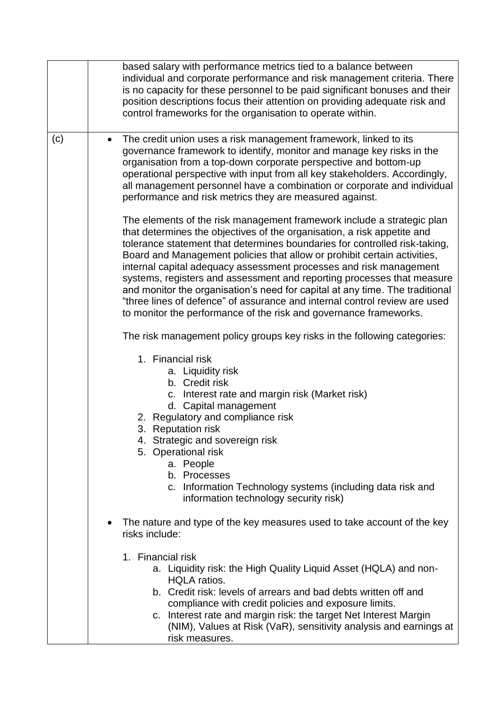|     | based salary with performance metrics tied to a balance between<br>individual and corporate performance and risk management criteria. There<br>is no capacity for these personnel to be paid significant bonuses and their<br>position descriptions focus their attention on providing adequate risk and<br>control frameworks for the organisation to operate within.                                                                                                                                                                                                                                                                                                                         |
|-----|------------------------------------------------------------------------------------------------------------------------------------------------------------------------------------------------------------------------------------------------------------------------------------------------------------------------------------------------------------------------------------------------------------------------------------------------------------------------------------------------------------------------------------------------------------------------------------------------------------------------------------------------------------------------------------------------|
| (c) | The credit union uses a risk management framework, linked to its<br>$\bullet$<br>governance framework to identify, monitor and manage key risks in the<br>organisation from a top-down corporate perspective and bottom-up<br>operational perspective with input from all key stakeholders. Accordingly,<br>all management personnel have a combination or corporate and individual<br>performance and risk metrics they are measured against.                                                                                                                                                                                                                                                 |
|     | The elements of the risk management framework include a strategic plan<br>that determines the objectives of the organisation, a risk appetite and<br>tolerance statement that determines boundaries for controlled risk-taking,<br>Board and Management policies that allow or prohibit certain activities,<br>internal capital adequacy assessment processes and risk management<br>systems, registers and assessment and reporting processes that measure<br>and monitor the organisation's need for capital at any time. The traditional<br>"three lines of defence" of assurance and internal control review are used<br>to monitor the performance of the risk and governance frameworks. |
|     | The risk management policy groups key risks in the following categories:                                                                                                                                                                                                                                                                                                                                                                                                                                                                                                                                                                                                                       |
|     | 1. Financial risk<br>a. Liquidity risk<br>b. Credit risk<br>c. Interest rate and margin risk (Market risk)<br>d. Capital management<br>2. Regulatory and compliance risk<br>3. Reputation risk<br>4. Strategic and sovereign risk<br>5. Operational risk<br>a. People<br>b. Processes<br>c. Information Technology systems (including data risk and<br>information technology security risk)                                                                                                                                                                                                                                                                                                   |
|     | The nature and type of the key measures used to take account of the key<br>$\bullet$<br>risks include:                                                                                                                                                                                                                                                                                                                                                                                                                                                                                                                                                                                         |
|     | 1. Financial risk<br>a. Liquidity risk: the High Quality Liquid Asset (HQLA) and non-<br><b>HQLA</b> ratios.<br>b. Credit risk: levels of arrears and bad debts written off and<br>compliance with credit policies and exposure limits.<br>c. Interest rate and margin risk: the target Net Interest Margin<br>(NIM), Values at Risk (VaR), sensitivity analysis and earnings at<br>risk measures.                                                                                                                                                                                                                                                                                             |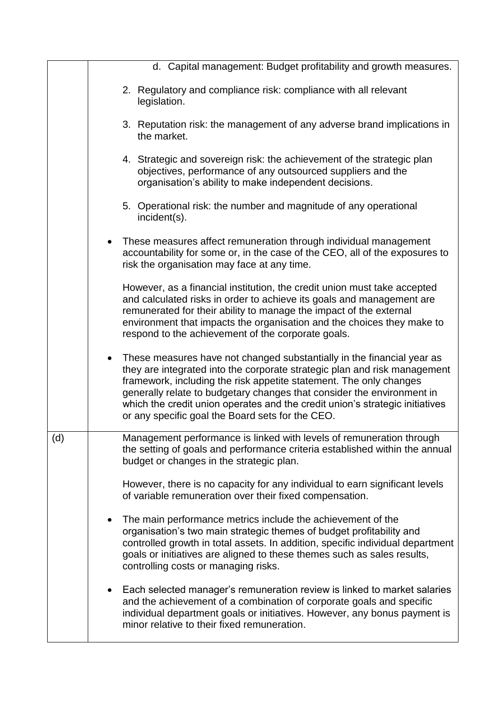|     | d. Capital management: Budget profitability and growth measures.                                                                                                                                                                                                                                                                                                                                                                          |  |  |
|-----|-------------------------------------------------------------------------------------------------------------------------------------------------------------------------------------------------------------------------------------------------------------------------------------------------------------------------------------------------------------------------------------------------------------------------------------------|--|--|
|     | 2. Regulatory and compliance risk: compliance with all relevant<br>legislation.                                                                                                                                                                                                                                                                                                                                                           |  |  |
|     | 3. Reputation risk: the management of any adverse brand implications in<br>the market.                                                                                                                                                                                                                                                                                                                                                    |  |  |
|     | 4. Strategic and sovereign risk: the achievement of the strategic plan<br>objectives, performance of any outsourced suppliers and the<br>organisation's ability to make independent decisions.                                                                                                                                                                                                                                            |  |  |
|     | 5. Operational risk: the number and magnitude of any operational<br>incident(s).                                                                                                                                                                                                                                                                                                                                                          |  |  |
|     | • These measures affect remuneration through individual management<br>accountability for some or, in the case of the CEO, all of the exposures to<br>risk the organisation may face at any time.                                                                                                                                                                                                                                          |  |  |
|     | However, as a financial institution, the credit union must take accepted<br>and calculated risks in order to achieve its goals and management are<br>remunerated for their ability to manage the impact of the external<br>environment that impacts the organisation and the choices they make to<br>respond to the achievement of the corporate goals.                                                                                   |  |  |
|     | • These measures have not changed substantially in the financial year as<br>they are integrated into the corporate strategic plan and risk management<br>framework, including the risk appetite statement. The only changes<br>generally relate to budgetary changes that consider the environment in<br>which the credit union operates and the credit union's strategic initiatives<br>or any specific goal the Board sets for the CEO. |  |  |
| (d) | Management performance is linked with levels of remuneration through<br>the setting of goals and performance criteria established within the annual<br>budget or changes in the strategic plan.                                                                                                                                                                                                                                           |  |  |
|     | However, there is no capacity for any individual to earn significant levels<br>of variable remuneration over their fixed compensation.                                                                                                                                                                                                                                                                                                    |  |  |
|     | The main performance metrics include the achievement of the<br>organisation's two main strategic themes of budget profitability and<br>controlled growth in total assets. In addition, specific individual department<br>goals or initiatives are aligned to these themes such as sales results,<br>controlling costs or managing risks.                                                                                                  |  |  |
|     | Each selected manager's remuneration review is linked to market salaries<br>and the achievement of a combination of corporate goals and specific<br>individual department goals or initiatives. However, any bonus payment is<br>minor relative to their fixed remuneration.                                                                                                                                                              |  |  |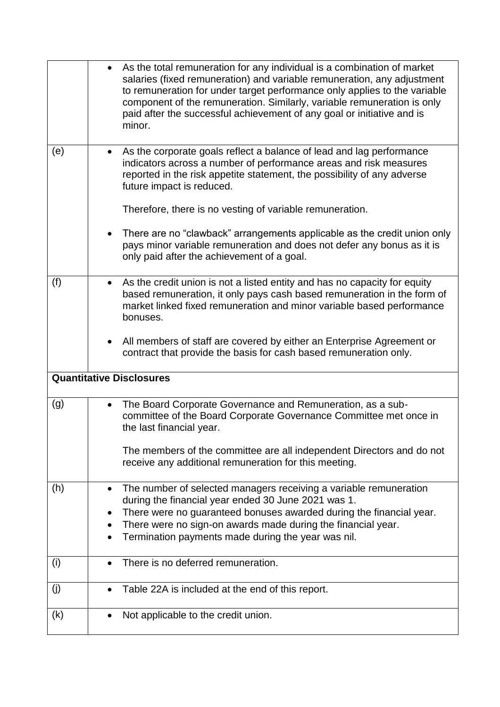|     | • As the total remuneration for any individual is a combination of market<br>salaries (fixed remuneration) and variable remuneration, any adjustment<br>to remuneration for under target performance only applies to the variable<br>component of the remuneration. Similarly, variable remuneration is only<br>paid after the successful achievement of any goal or initiative and is<br>minor. |
|-----|--------------------------------------------------------------------------------------------------------------------------------------------------------------------------------------------------------------------------------------------------------------------------------------------------------------------------------------------------------------------------------------------------|
| (e) | As the corporate goals reflect a balance of lead and lag performance<br>$\bullet$<br>indicators across a number of performance areas and risk measures<br>reported in the risk appetite statement, the possibility of any adverse<br>future impact is reduced.                                                                                                                                   |
|     | Therefore, there is no vesting of variable remuneration.                                                                                                                                                                                                                                                                                                                                         |
|     | There are no "clawback" arrangements applicable as the credit union only<br>$\bullet$<br>pays minor variable remuneration and does not defer any bonus as it is<br>only paid after the achievement of a goal.                                                                                                                                                                                    |
| (f) | As the credit union is not a listed entity and has no capacity for equity<br>$\bullet$<br>based remuneration, it only pays cash based remuneration in the form of<br>market linked fixed remuneration and minor variable based performance<br>bonuses.                                                                                                                                           |
|     | All members of staff are covered by either an Enterprise Agreement or<br>$\bullet$<br>contract that provide the basis for cash based remuneration only.                                                                                                                                                                                                                                          |
|     | <b>Quantitative Disclosures</b>                                                                                                                                                                                                                                                                                                                                                                  |
| (g) | The Board Corporate Governance and Remuneration, as a sub-<br>$\bullet$<br>committee of the Board Corporate Governance Committee met once in<br>the last financial year.                                                                                                                                                                                                                         |
|     | The members of the committee are all independent Directors and do not<br>receive any additional remuneration for this meeting.                                                                                                                                                                                                                                                                   |
| (h) | The number of selected managers receiving a variable remuneration<br>$\bullet$<br>during the financial year ended 30 June 2021 was 1.<br>There were no guaranteed bonuses awarded during the financial year.                                                                                                                                                                                     |
|     | There were no sign-on awards made during the financial year.<br>Termination payments made during the year was nil.                                                                                                                                                                                                                                                                               |
| (i) | There is no deferred remuneration.                                                                                                                                                                                                                                                                                                                                                               |
| (j) | Table 22A is included at the end of this report.                                                                                                                                                                                                                                                                                                                                                 |
| (k) | Not applicable to the credit union.                                                                                                                                                                                                                                                                                                                                                              |